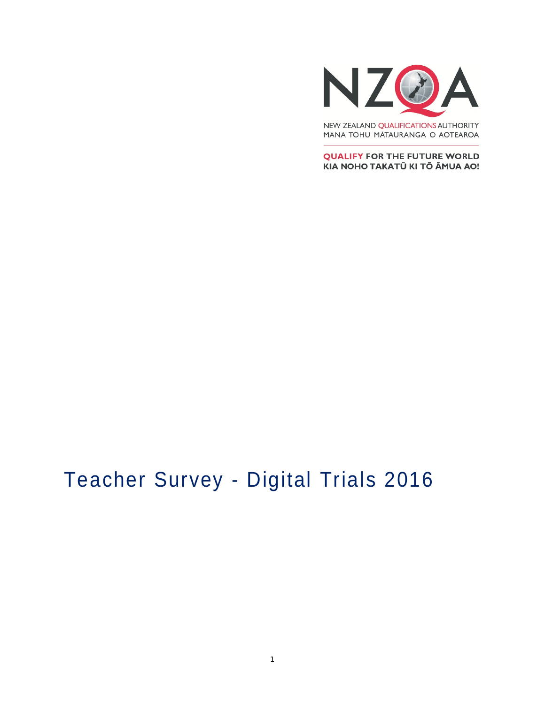

MANA TOHU MĀTAURANGA O AOTEAROA

**QUALIFY FOR THE FUTURE WORLD** KIA NOHO TAKATŪ KI TŌ ĀMUA AO!

# Teacher Survey - Digital Trials 2016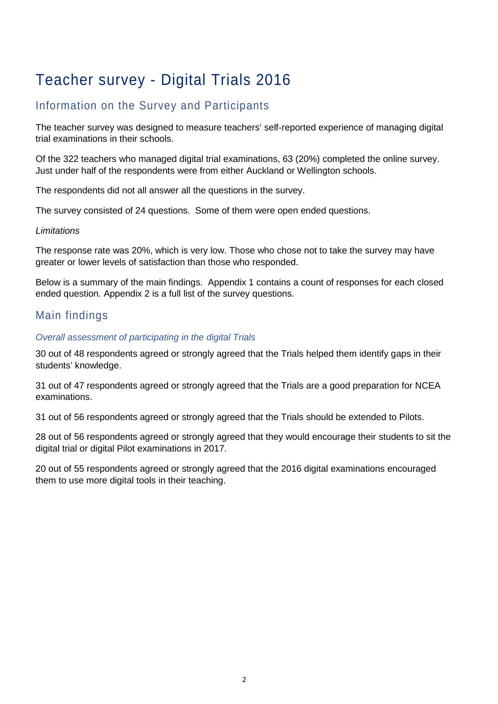## Teacher survey - Digital Trials 2016

## Information on the Survey and Participants

The teacher survey was designed to measure teachers' self-reported experience of managing digital trial examinations in their schools.

Of the 322 teachers who managed digital trial examinations, 63 (20%) completed the online survey. Just under half of the respondents were from either Auckland or Wellington schools.

The respondents did not all answer all the questions in the survey.

The survey consisted of 24 questions. Some of them were open ended questions.

#### *Limitations*

The response rate was 20%, which is very low. Those who chose not to take the survey may have greater or lower levels of satisfaction than those who responded.

Below is a summary of the main findings. Appendix 1 contains a count of responses for each closed ended question. Appendix 2 is a full list of the survey questions.

## Main findings

#### *Overall assessment of participating in the digital Trials*

30 out of 48 respondents agreed or strongly agreed that the Trials helped them identify gaps in their students' knowledge.

31 out of 47 respondents agreed or strongly agreed that the Trials are a good preparation for NCEA examinations.

31 out of 56 respondents agreed or strongly agreed that the Trials should be extended to Pilots.

28 out of 56 respondents agreed or strongly agreed that they would encourage their students to sit the digital trial or digital Pilot examinations in 2017.

20 out of 55 respondents agreed or strongly agreed that the 2016 digital examinations encouraged them to use more digital tools in their teaching.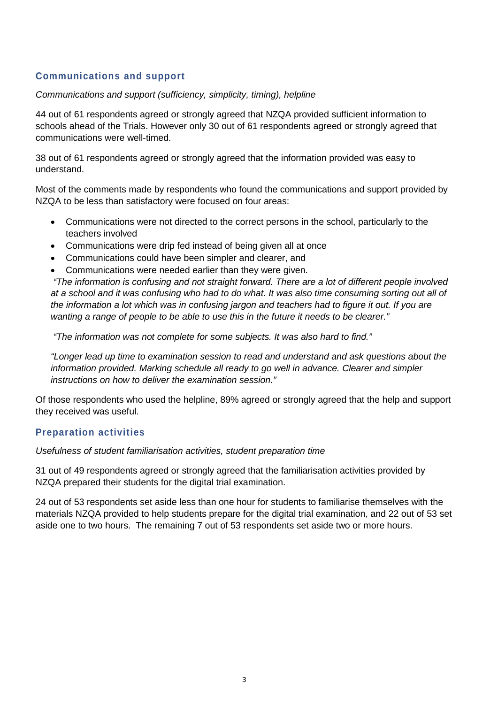### **Communications and support**

#### *Communications and support (sufficiency, simplicity, timing), helpline*

44 out of 61 respondents agreed or strongly agreed that NZQA provided sufficient information to schools ahead of the Trials. However only 30 out of 61 respondents agreed or strongly agreed that communications were well-timed.

38 out of 61 respondents agreed or strongly agreed that the information provided was easy to understand.

Most of the comments made by respondents who found the communications and support provided by NZQA to be less than satisfactory were focused on four areas:

- Communications were not directed to the correct persons in the school, particularly to the teachers involved
- Communications were drip fed instead of being given all at once
- Communications could have been simpler and clearer, and
- Communications were needed earlier than they were given.

*"The information is confusing and not straight forward. There are a lot of different people involved at a school and it was confusing who had to do what. It was also time consuming sorting out all of the information a lot which was in confusing jargon and teachers had to figure it out. If you are wanting a range of people to be able to use this in the future it needs to be clearer."*

*"The information was not complete for some subjects. It was also hard to find."*

*"Longer lead up time to examination session to read and understand and ask questions about the information provided. Marking schedule all ready to go well in advance. Clearer and simpler instructions on how to deliver the examination session."*

Of those respondents who used the helpline, 89% agreed or strongly agreed that the help and support they received was useful.

#### **Preparation activities**

*Usefulness of student familiarisation activities, student preparation time*

31 out of 49 respondents agreed or strongly agreed that the familiarisation activities provided by NZQA prepared their students for the digital trial examination.

24 out of 53 respondents set aside less than one hour for students to familiarise themselves with the materials NZQA provided to help students prepare for the digital trial examination, and 22 out of 53 set aside one to two hours. The remaining 7 out of 53 respondents set aside two or more hours.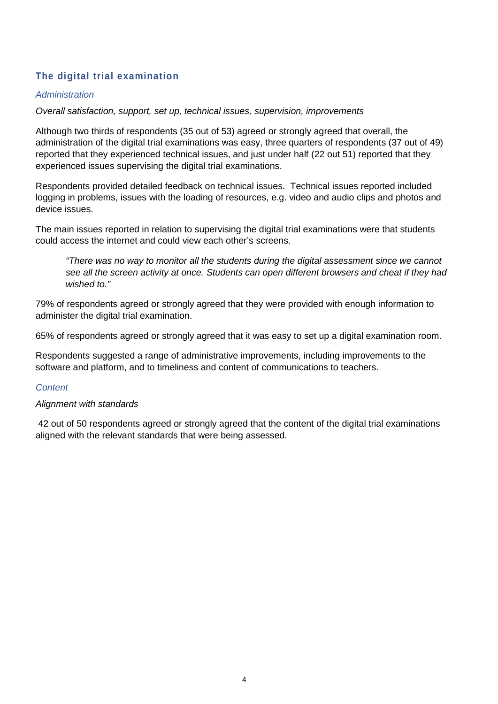## **The digital trial examination**

#### *Administration*

*Overall satisfaction, support, set up, technical issues, supervision, improvements*

Although two thirds of respondents (35 out of 53) agreed or strongly agreed that overall, the administration of the digital trial examinations was easy, three quarters of respondents (37 out of 49) reported that they experienced technical issues, and just under half (22 out 51) reported that they experienced issues supervising the digital trial examinations.

Respondents provided detailed feedback on technical issues. Technical issues reported included logging in problems, issues with the loading of resources, e.g. video and audio clips and photos and device issues.

The main issues reported in relation to supervising the digital trial examinations were that students could access the internet and could view each other's screens.

*"There was no way to monitor all the students during the digital assessment since we cannot see all the screen activity at once. Students can open different browsers and cheat if they had wished to."*

79% of respondents agreed or strongly agreed that they were provided with enough information to administer the digital trial examination.

65% of respondents agreed or strongly agreed that it was easy to set up a digital examination room.

Respondents suggested a range of administrative improvements, including improvements to the software and platform, and to timeliness and content of communications to teachers.

#### *Content*

#### *Alignment with standards*

42 out of 50 respondents agreed or strongly agreed that the content of the digital trial examinations aligned with the relevant standards that were being assessed.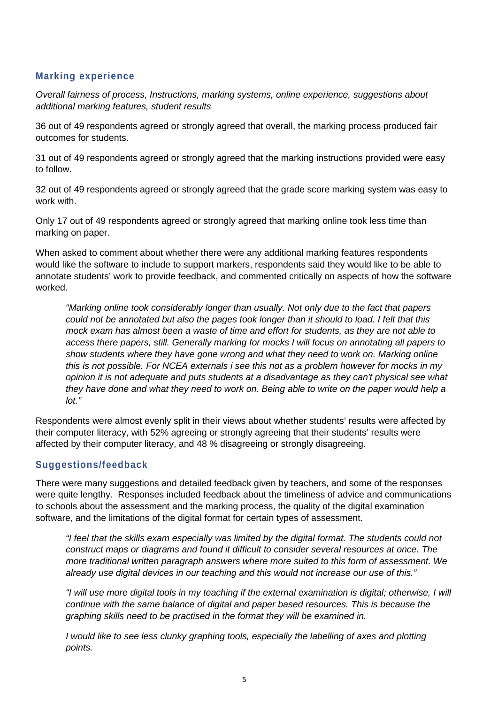#### **Marking experience**

*Overall fairness of process, Instructions, marking systems, online experience, suggestions about additional marking features, student results*

36 out of 49 respondents agreed or strongly agreed that overall, the marking process produced fair outcomes for students.

31 out of 49 respondents agreed or strongly agreed that the marking instructions provided were easy to follow.

32 out of 49 respondents agreed or strongly agreed that the grade score marking system was easy to work with.

Only 17 out of 49 respondents agreed or strongly agreed that marking online took less time than marking on paper.

When asked to comment about whether there were any additional marking features respondents would like the software to include to support markers, respondents said they would like to be able to annotate students' work to provide feedback, and commented critically on aspects of how the software worked.

*"Marking online took considerably longer than usually. Not only due to the fact that papers could not be annotated but also the pages took longer than it should to load. I felt that this mock exam has almost been a waste of time and effort for students, as they are not able to access there papers, still. Generally marking for mocks I will focus on annotating all papers to show students where they have gone wrong and what they need to work on. Marking online this is not possible. For NCEA externals i see this not as a problem however for mocks in my opinion it is not adequate and puts students at a disadvantage as they can't physical see what they have done and what they need to work on. Being able to write on the paper would help a lot."*

Respondents were almost evenly split in their views about whether students' results were affected by their computer literacy, with 52% agreeing or strongly agreeing that their students' results were affected by their computer literacy, and 48 % disagreeing or strongly disagreeing.

#### **Suggestions/feedback**

There were many suggestions and detailed feedback given by teachers, and some of the responses were quite lengthy. Responses included feedback about the timeliness of advice and communications to schools about the assessment and the marking process, the quality of the digital examination software, and the limitations of the digital format for certain types of assessment.

*"I feel that the skills exam especially was limited by the digital format. The students could not construct maps or diagrams and found it difficult to consider several resources at once. The more traditional written paragraph answers where more suited to this form of assessment. We already use digital devices in our teaching and this would not increase our use of this."*

*"I will use more digital tools in my teaching if the external examination is digital; otherwise, I will continue with the same balance of digital and paper based resources. This is because the graphing skills need to be practised in the format they will be examined in.*

*I* would like to see less clunky graphing tools, especially the labelling of axes and plotting *points.*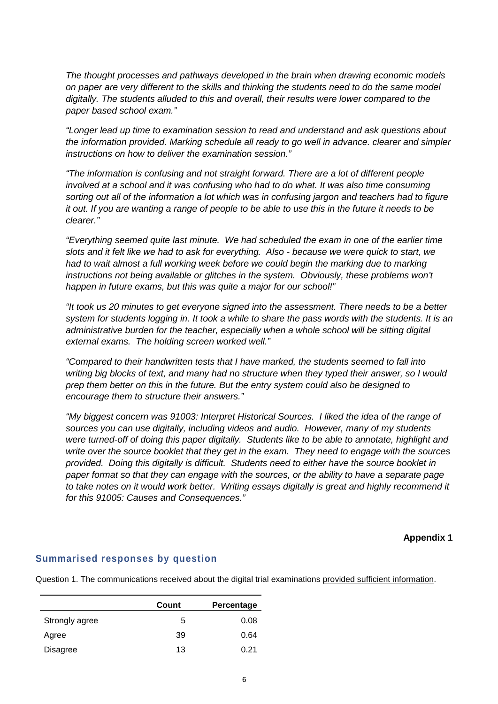*The thought processes and pathways developed in the brain when drawing economic models on paper are very different to the skills and thinking the students need to do the same model digitally. The students alluded to this and overall, their results were lower compared to the paper based school exam."*

*"Longer lead up time to examination session to read and understand and ask questions about the information provided. Marking schedule all ready to go well in advance. clearer and simpler instructions on how to deliver the examination session."*

*"The information is confusing and not straight forward. There are a lot of different people involved at a school and it was confusing who had to do what. It was also time consuming sorting out all of the information a lot which was in confusing jargon and teachers had to figure it out. If you are wanting a range of people to be able to use this in the future it needs to be clearer."*

*"Everything seemed quite last minute. We had scheduled the exam in one of the earlier time slots and it felt like we had to ask for everything. Also - because we were quick to start, we had to wait almost a full working week before we could begin the marking due to marking*  instructions not being available or glitches in the system. Obviously, these problems won't *happen in future exams, but this was quite a major for our school!"*

*"It took us 20 minutes to get everyone signed into the assessment. There needs to be a better system for students logging in. It took a while to share the pass words with the students. It is an administrative burden for the teacher, especially when a whole school will be sitting digital external exams. The holding screen worked well."*

*"Compared to their handwritten tests that I have marked, the students seemed to fall into writing big blocks of text, and many had no structure when they typed their answer, so I would prep them better on this in the future. But the entry system could also be designed to encourage them to structure their answers."*

*"My biggest concern was 91003: Interpret Historical Sources. I liked the idea of the range of sources you can use digitally, including videos and audio. However, many of my students were turned-off of doing this paper digitally. Students like to be able to annotate, highlight and write over the source booklet that they get in the exam. They need to engage with the sources provided. Doing this digitally is difficult. Students need to either have the source booklet in paper format so that they can engage with the sources, or the ability to have a separate page to take notes on it would work better. Writing essays digitally is great and highly recommend it for this 91005: Causes and Consequences."*

**Appendix 1**

#### **Summarised responses by question**

Question 1. The communications received about the digital trial examinations provided sufficient information.

|                | Count | Percentage |
|----------------|-------|------------|
| Strongly agree | 5     | 0.08       |
| Agree          | 39    | 0.64       |
| Disagree       | 13    | 0.21       |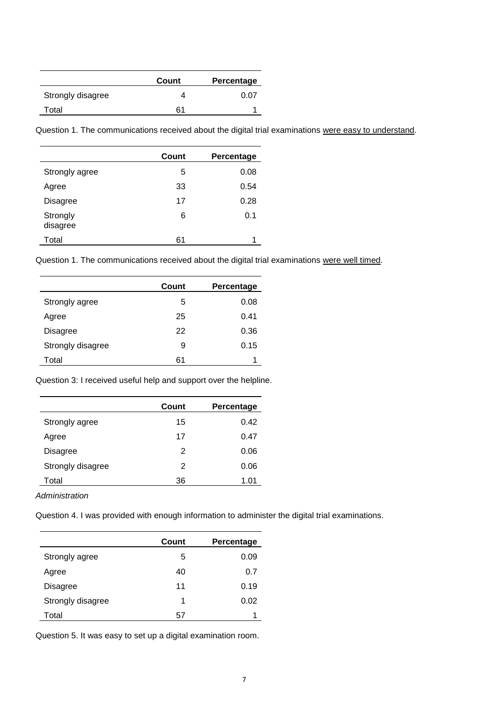|                   | Count | Percentage |
|-------------------|-------|------------|
| Strongly disagree |       | 0.07       |
| Total             | 61    |            |

Question 1. The communications received about the digital trial examinations were easy to understand.

|                      | Count | Percentage |
|----------------------|-------|------------|
| Strongly agree       | 5     | 0.08       |
| Agree                | 33    | 0.54       |
| <b>Disagree</b>      | 17    | 0.28       |
| Strongly<br>disagree | 6     | 0.1        |
| Total                | 61    |            |

Question 1. The communications received about the digital trial examinations were well timed.

|                   | Count | Percentage |
|-------------------|-------|------------|
| Strongly agree    | 5     | 0.08       |
| Agree             | 25    | 0.41       |
| Disagree          | 22    | 0.36       |
| Strongly disagree | 9     | 0.15       |
| Total             | 61    |            |

Question 3: I received useful help and support over the helpline.

|                   | Count | Percentage |
|-------------------|-------|------------|
| Strongly agree    | 15    | 0.42       |
| Agree             | 17    | 0.47       |
| Disagree          | 2     | 0.06       |
| Strongly disagree | 2     | 0.06       |
| Total             | 36    | 1.01       |

*Administration*

Question 4. I was provided with enough information to administer the digital trial examinations.

|                   | Count | Percentage |
|-------------------|-------|------------|
| Strongly agree    | 5     | 0.09       |
| Agree             | 40    | 0.7        |
| <b>Disagree</b>   | 11    | 0.19       |
| Strongly disagree | 1     | 0.02       |
| Total             | 57    | 1          |

Question 5. It was easy to set up a digital examination room.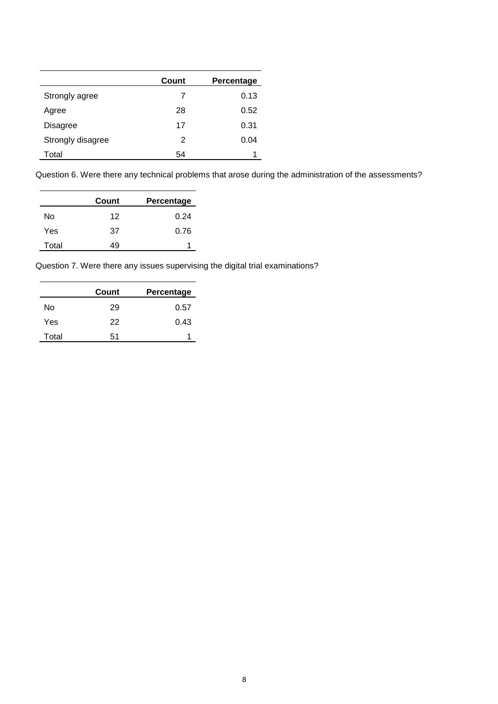|                   | Count | Percentage |
|-------------------|-------|------------|
| Strongly agree    | 7     | 0.13       |
| Agree             | 28    | 0.52       |
| Disagree          | 17    | 0.31       |
| Strongly disagree | 2     | 0.04       |
| Total             | 54    |            |

Question 6. Were there any technical problems that arose during the administration of the assessments?

|       | Count | Percentage |
|-------|-------|------------|
| No    | 12    | 0.24       |
| Yes   | 37    | 0.76       |
| Total | 49    |            |

Question 7. Were there any issues supervising the digital trial examinations?

|       | Count | Percentage |
|-------|-------|------------|
| No    | 29    | 0.57       |
| Yes   | 22    | 0.43       |
| Total | 51    |            |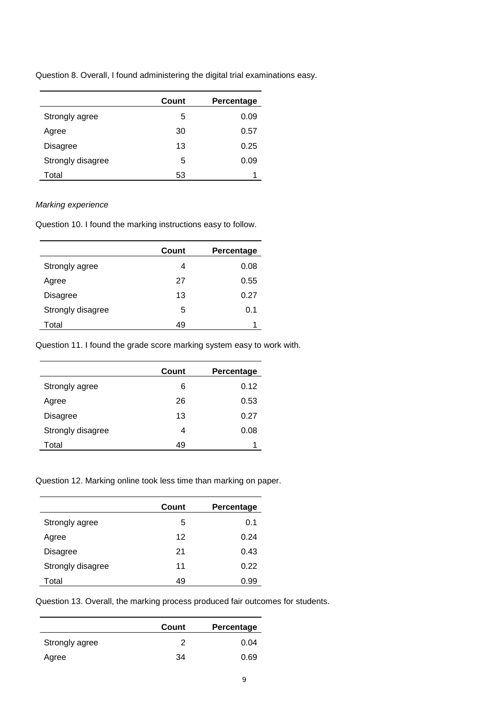Question 8. Overall, I found administering the digital trial examinations easy.

|                   | Count | Percentage |
|-------------------|-------|------------|
| Strongly agree    | 5     | 0.09       |
| Agree             | 30    | 0.57       |
| Disagree          | 13    | 0.25       |
| Strongly disagree | 5     | 0.09       |
| Total             | 53    |            |

#### *Marking experience*

Question 10. I found the marking instructions easy to follow.

|                   | Count | Percentage |
|-------------------|-------|------------|
| Strongly agree    | 4     | 0.08       |
| Agree             | 27    | 0.55       |
| Disagree          | 13    | 0.27       |
| Strongly disagree | 5     | 0.1        |
| Total             | 49    |            |

Question 11. I found the grade score marking system easy to work with.

|                   | Count | Percentage |
|-------------------|-------|------------|
| Strongly agree    | 6     | 0.12       |
| Agree             | 26    | 0.53       |
| Disagree          | 13    | 0.27       |
| Strongly disagree | 4     | 0.08       |
| Total             | 49    |            |

Question 12. Marking online took less time than marking on paper.

|                   | Count | Percentage |
|-------------------|-------|------------|
| Strongly agree    | 5     | 0.1        |
| Agree             | 12    | 0.24       |
| Disagree          | 21    | 0.43       |
| Strongly disagree | 11    | 0.22       |
| Total             | 49    | 0.99       |

Question 13. Overall, the marking process produced fair outcomes for students.

|                | Count | Percentage |
|----------------|-------|------------|
| Strongly agree | っ     | 0.04       |
| Agree          | 34    | 0.69       |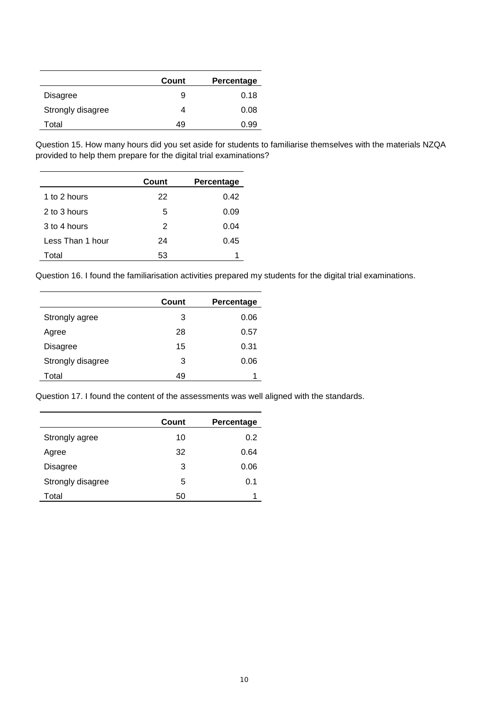|                   | Count | Percentage |
|-------------------|-------|------------|
| <b>Disagree</b>   | 9     | 0.18       |
| Strongly disagree | 4     | 0.08       |
| Total             | 49    | 0.99       |

Question 15. How many hours did you set aside for students to familiarise themselves with the materials NZQA provided to help them prepare for the digital trial examinations?

|                  | Count | Percentage |
|------------------|-------|------------|
| 1 to 2 hours     | 22    | 0.42       |
| 2 to 3 hours     | 5     | 0.09       |
| 3 to 4 hours     | 2     | 0.04       |
| Less Than 1 hour | 24    | 0.45       |
| Total            | 53    |            |

Question 16. I found the familiarisation activities prepared my students for the digital trial examinations.

|                   | Count | Percentage |
|-------------------|-------|------------|
| Strongly agree    | 3     | 0.06       |
| Agree             | 28    | 0.57       |
| Disagree          | 15    | 0.31       |
| Strongly disagree | 3     | 0.06       |
| Total             | 49    |            |

Question 17. I found the content of the assessments was well aligned with the standards.

|                   | Count | Percentage |
|-------------------|-------|------------|
| Strongly agree    | 10    | 0.2        |
| Agree             | 32    | 0.64       |
| Disagree          | 3     | 0.06       |
| Strongly disagree | 5     | 0.1        |
| Total             | 50    | 1          |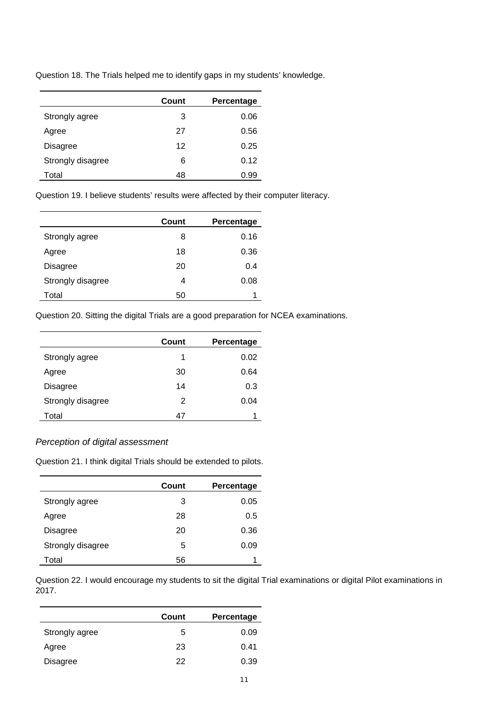|                   | Count | Percentage |
|-------------------|-------|------------|
| Strongly agree    | 3     | 0.06       |
| Agree             | 27    | 0.56       |
| Disagree          | 12    | 0.25       |
| Strongly disagree | 6     | 0.12       |
| Total             | 48    | 0.99       |

Question 18. The Trials helped me to identify gaps in my students' knowledge.

Question 19. I believe students' results were affected by their computer literacy.

|                   | Count | Percentage |
|-------------------|-------|------------|
| Strongly agree    | 8     | 0.16       |
| Agree             | 18    | 0.36       |
| Disagree          | 20    | 0.4        |
| Strongly disagree | 4     | 0.08       |
| Total             | 50    |            |

Question 20. Sitting the digital Trials are a good preparation for NCEA examinations.

|                   | Count | Percentage |
|-------------------|-------|------------|
| Strongly agree    | 1     | 0.02       |
| Agree             | 30    | 0.64       |
| <b>Disagree</b>   | 14    | 0.3        |
| Strongly disagree | 2     | 0.04       |
| Total             | 47    |            |

#### *Perception of digital assessment*

Question 21. I think digital Trials should be extended to pilots.

|                   | Count | Percentage |
|-------------------|-------|------------|
| Strongly agree    | 3     | 0.05       |
| Agree             | 28    | 0.5        |
| <b>Disagree</b>   | 20    | 0.36       |
| Strongly disagree | 5     | 0.09       |
| Total             | 56    |            |

Question 22. I would encourage my students to sit the digital Trial examinations or digital Pilot examinations in 2017.

|                 | Count | Percentage |
|-----------------|-------|------------|
| Strongly agree  | 5     | 0.09       |
| Agree           | 23    | 0.41       |
| <b>Disagree</b> | 22    | 0.39       |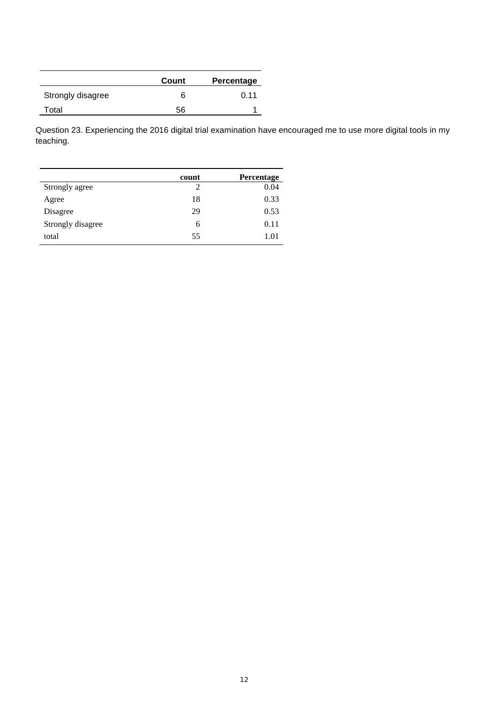|                   | Count | Percentage |
|-------------------|-------|------------|
| Strongly disagree | 6     | 0.11       |
| Total             | 56    |            |

Question 23. Experiencing the 2016 digital trial examination have encouraged me to use more digital tools in my teaching.

|                   | count | Percentage |
|-------------------|-------|------------|
| Strongly agree    | 2     | 0.04       |
| Agree             | 18    | 0.33       |
| Disagree          | 29    | 0.53       |
| Strongly disagree | 6     | 0.11       |
| total             | 55    | 1.01       |